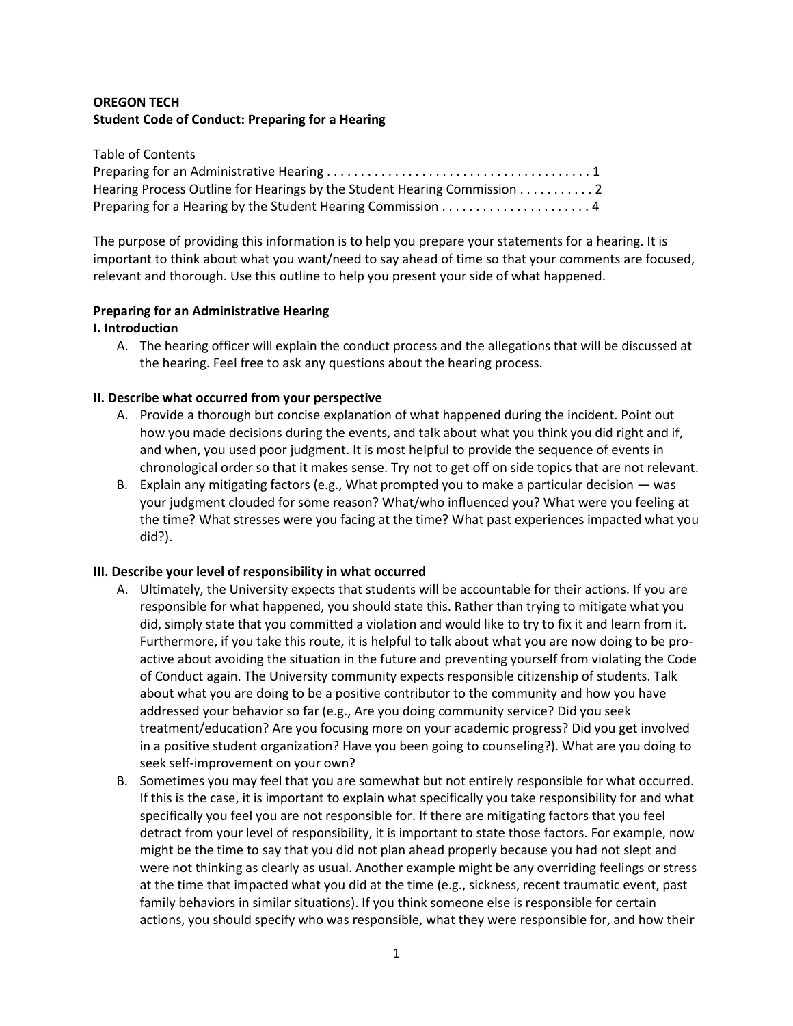## **OREGON TECH Student Code of Conduct: Preparing for a Hearing**

#### Table of Contents

| Hearing Process Outline for Hearings by the Student Hearing Commission 2 |  |
|--------------------------------------------------------------------------|--|
|                                                                          |  |

The purpose of providing this information is to help you prepare your statements for a hearing. It is important to think about what you want/need to say ahead of time so that your comments are focused, relevant and thorough. Use this outline to help you present your side of what happened.

# **Preparing for an Administrative Hearing**

#### **I. Introduction**

A. The hearing officer will explain the conduct process and the allegations that will be discussed at the hearing. Feel free to ask any questions about the hearing process.

#### **II. Describe what occurred from your perspective**

- A. Provide a thorough but concise explanation of what happened during the incident. Point out how you made decisions during the events, and talk about what you think you did right and if, and when, you used poor judgment. It is most helpful to provide the sequence of events in chronological order so that it makes sense. Try not to get off on side topics that are not relevant.
- B. Explain any mitigating factors (e.g., What prompted you to make a particular decision was your judgment clouded for some reason? What/who influenced you? What were you feeling at the time? What stresses were you facing at the time? What past experiences impacted what you did?).

#### **III. Describe your level of responsibility in what occurred**

- A. Ultimately, the University expects that students will be accountable for their actions. If you are responsible for what happened, you should state this. Rather than trying to mitigate what you did, simply state that you committed a violation and would like to try to fix it and learn from it. Furthermore, if you take this route, it is helpful to talk about what you are now doing to be proactive about avoiding the situation in the future and preventing yourself from violating the Code of Conduct again. The University community expects responsible citizenship of students. Talk about what you are doing to be a positive contributor to the community and how you have addressed your behavior so far (e.g., Are you doing community service? Did you seek treatment/education? Are you focusing more on your academic progress? Did you get involved in a positive student organization? Have you been going to counseling?). What are you doing to seek self-improvement on your own?
- B. Sometimes you may feel that you are somewhat but not entirely responsible for what occurred. If this is the case, it is important to explain what specifically you take responsibility for and what specifically you feel you are not responsible for. If there are mitigating factors that you feel detract from your level of responsibility, it is important to state those factors. For example, now might be the time to say that you did not plan ahead properly because you had not slept and were not thinking as clearly as usual. Another example might be any overriding feelings or stress at the time that impacted what you did at the time (e.g., sickness, recent traumatic event, past family behaviors in similar situations). If you think someone else is responsible for certain actions, you should specify who was responsible, what they were responsible for, and how their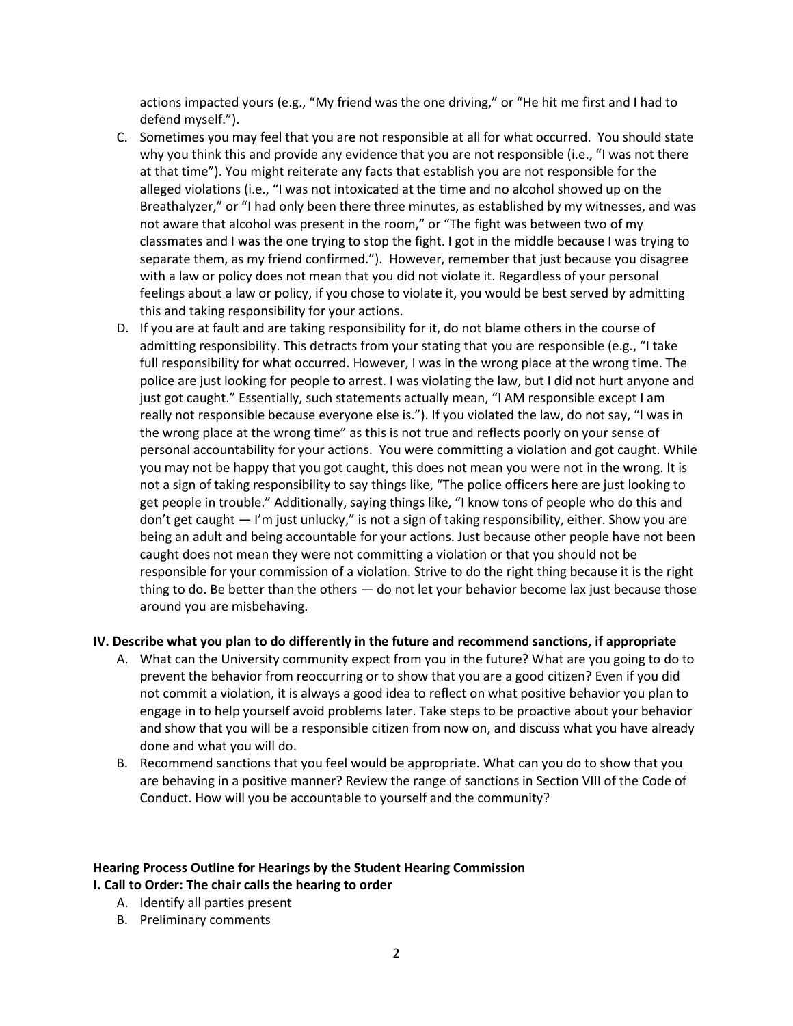actions impacted yours (e.g., "My friend was the one driving," or "He hit me first and I had to defend myself.").

- C. Sometimes you may feel that you are not responsible at all for what occurred. You should state why you think this and provide any evidence that you are not responsible (i.e., "I was not there at that time"). You might reiterate any facts that establish you are not responsible for the alleged violations (i.e., "I was not intoxicated at the time and no alcohol showed up on the Breathalyzer," or "I had only been there three minutes, as established by my witnesses, and was not aware that alcohol was present in the room," or "The fight was between two of my classmates and I was the one trying to stop the fight. I got in the middle because I was trying to separate them, as my friend confirmed."). However, remember that just because you disagree with a law or policy does not mean that you did not violate it. Regardless of your personal feelings about a law or policy, if you chose to violate it, you would be best served by admitting this and taking responsibility for your actions.
- D. If you are at fault and are taking responsibility for it, do not blame others in the course of admitting responsibility. This detracts from your stating that you are responsible (e.g., "I take full responsibility for what occurred. However, I was in the wrong place at the wrong time. The police are just looking for people to arrest. I was violating the law, but I did not hurt anyone and just got caught." Essentially, such statements actually mean, "I AM responsible except I am really not responsible because everyone else is."). If you violated the law, do not say, "I was in the wrong place at the wrong time" as this is not true and reflects poorly on your sense of personal accountability for your actions. You were committing a violation and got caught. While you may not be happy that you got caught, this does not mean you were not in the wrong. It is not a sign of taking responsibility to say things like, "The police officers here are just looking to get people in trouble." Additionally, saying things like, "I know tons of people who do this and don't get caught — I'm just unlucky," is not a sign of taking responsibility, either. Show you are being an adult and being accountable for your actions. Just because other people have not been caught does not mean they were not committing a violation or that you should not be responsible for your commission of a violation. Strive to do the right thing because it is the right thing to do. Be better than the others — do not let your behavior become lax just because those around you are misbehaving.

#### **IV. Describe what you plan to do differently in the future and recommend sanctions, if appropriate**

- A. What can the University community expect from you in the future? What are you going to do to prevent the behavior from reoccurring or to show that you are a good citizen? Even if you did not commit a violation, it is always a good idea to reflect on what positive behavior you plan to engage in to help yourself avoid problems later. Take steps to be proactive about your behavior and show that you will be a responsible citizen from now on, and discuss what you have already done and what you will do.
- B. Recommend sanctions that you feel would be appropriate. What can you do to show that you are behaving in a positive manner? Review the range of sanctions in Section VIII of the Code of Conduct. How will you be accountable to yourself and the community?

#### **Hearing Process Outline for Hearings by the Student Hearing Commission I. Call to Order: The chair calls the hearing to order**

- A. Identify all parties present
- B. Preliminary comments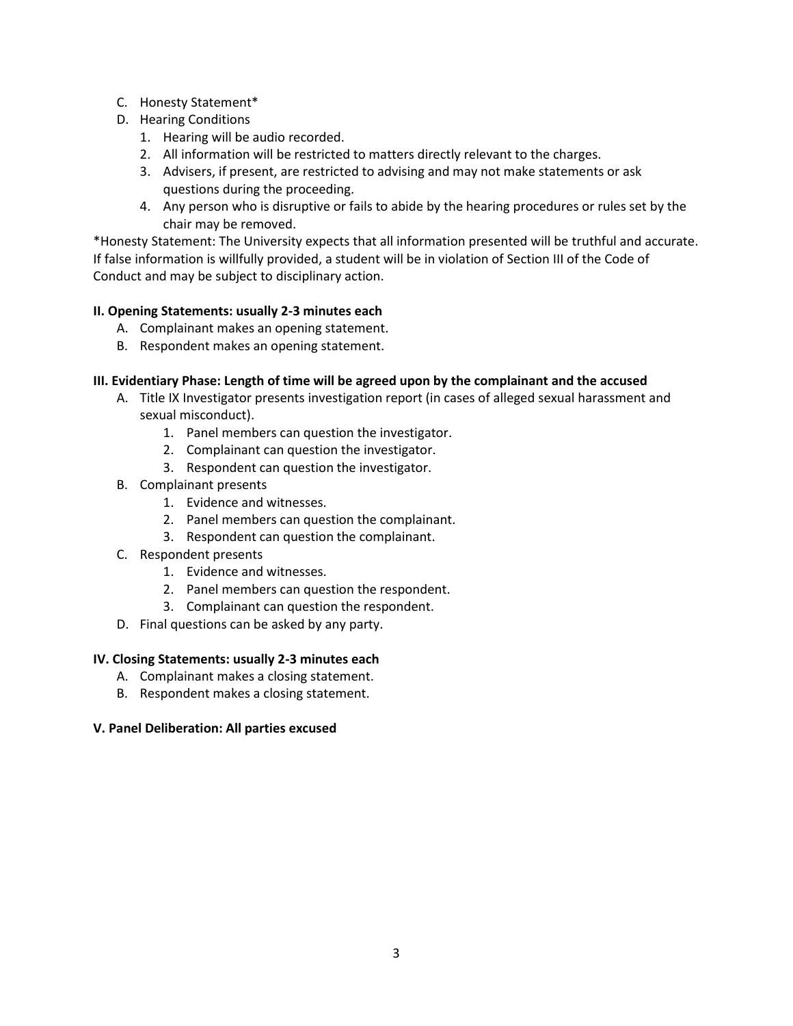- C. Honesty Statement\*
- D. Hearing Conditions
	- 1. Hearing will be audio recorded.
	- 2. All information will be restricted to matters directly relevant to the charges.
	- 3. Advisers, if present, are restricted to advising and may not make statements or ask questions during the proceeding.
	- 4. Any person who is disruptive or fails to abide by the hearing procedures or rules set by the chair may be removed.

\*Honesty Statement: The University expects that all information presented will be truthful and accurate. If false information is willfully provided, a student will be in violation of Section III of the Code of Conduct and may be subject to disciplinary action.

## **II. Opening Statements: usually 2-3 minutes each**

- A. Complainant makes an opening statement.
- B. Respondent makes an opening statement.

## **III. Evidentiary Phase: Length of time will be agreed upon by the complainant and the accused**

- A. Title IX Investigator presents investigation report (in cases of alleged sexual harassment and sexual misconduct).
	- 1. Panel members can question the investigator.
	- 2. Complainant can question the investigator.
	- 3. Respondent can question the investigator.
- B. Complainant presents
	- 1. Evidence and witnesses.
	- 2. Panel members can question the complainant.
	- 3. Respondent can question the complainant.
- C. Respondent presents
	- 1. Evidence and witnesses.
	- 2. Panel members can question the respondent.
	- 3. Complainant can question the respondent.
- D. Final questions can be asked by any party.

#### **IV. Closing Statements: usually 2-3 minutes each**

- A. Complainant makes a closing statement.
- B. Respondent makes a closing statement.

#### **V. Panel Deliberation: All parties excused**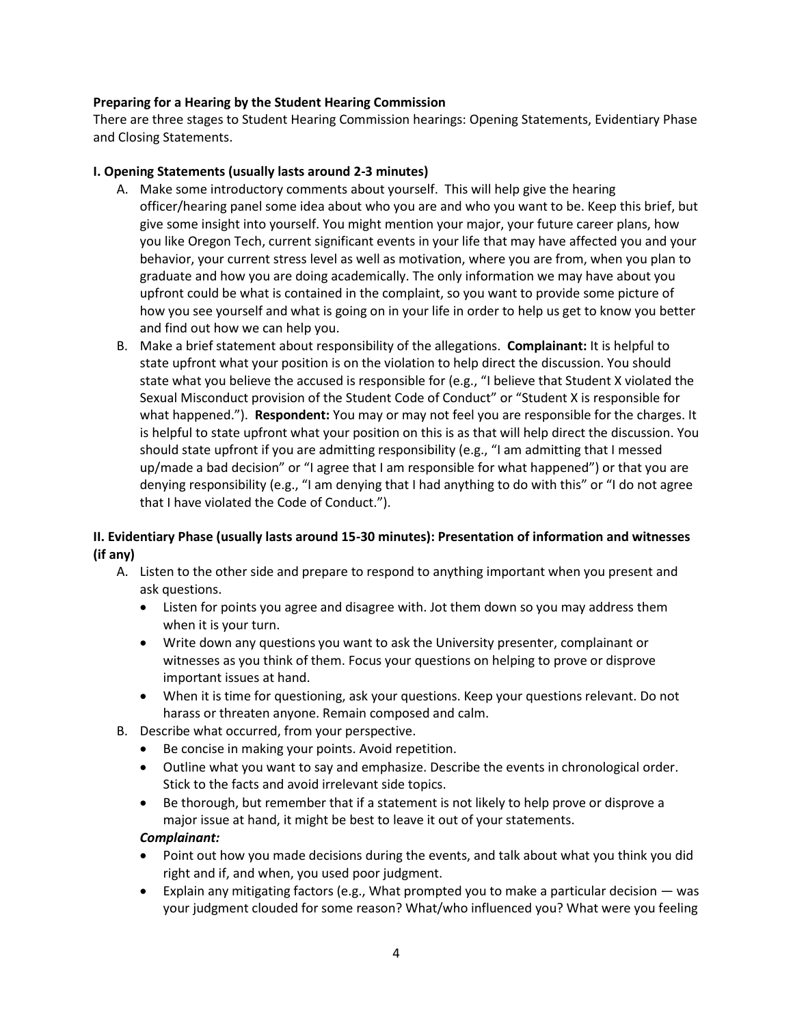## **Preparing for a Hearing by the Student Hearing Commission**

There are three stages to Student Hearing Commission hearings: Opening Statements, Evidentiary Phase and Closing Statements.

## **I. Opening Statements (usually lasts around 2-3 minutes)**

- A. Make some introductory comments about yourself. This will help give the hearing officer/hearing panel some idea about who you are and who you want to be. Keep this brief, but give some insight into yourself. You might mention your major, your future career plans, how you like Oregon Tech, current significant events in your life that may have affected you and your behavior, your current stress level as well as motivation, where you are from, when you plan to graduate and how you are doing academically. The only information we may have about you upfront could be what is contained in the complaint, so you want to provide some picture of how you see yourself and what is going on in your life in order to help us get to know you better and find out how we can help you.
- B. Make a brief statement about responsibility of the allegations. **Complainant:** It is helpful to state upfront what your position is on the violation to help direct the discussion. You should state what you believe the accused is responsible for (e.g., "I believe that Student X violated the Sexual Misconduct provision of the Student Code of Conduct" or "Student X is responsible for what happened."). **Respondent:** You may or may not feel you are responsible for the charges. It is helpful to state upfront what your position on this is as that will help direct the discussion. You should state upfront if you are admitting responsibility (e.g., "I am admitting that I messed up/made a bad decision" or "I agree that I am responsible for what happened") or that you are denying responsibility (e.g., "I am denying that I had anything to do with this" or "I do not agree that I have violated the Code of Conduct.").

## **II. Evidentiary Phase (usually lasts around 15-30 minutes): Presentation of information and witnesses (if any)**

- A. Listen to the other side and prepare to respond to anything important when you present and ask questions.
	- Listen for points you agree and disagree with. Jot them down so you may address them when it is your turn.
	- Write down any questions you want to ask the University presenter, complainant or witnesses as you think of them. Focus your questions on helping to prove or disprove important issues at hand.
	- When it is time for questioning, ask your questions. Keep your questions relevant. Do not harass or threaten anyone. Remain composed and calm.
- B. Describe what occurred, from your perspective.
	- Be concise in making your points. Avoid repetition.
	- Outline what you want to say and emphasize. Describe the events in chronological order. Stick to the facts and avoid irrelevant side topics.
	- Be thorough, but remember that if a statement is not likely to help prove or disprove a major issue at hand, it might be best to leave it out of your statements.

#### *Complainant:*

- Point out how you made decisions during the events, and talk about what you think you did right and if, and when, you used poor judgment.
- Explain any mitigating factors (e.g., What prompted you to make a particular decision was your judgment clouded for some reason? What/who influenced you? What were you feeling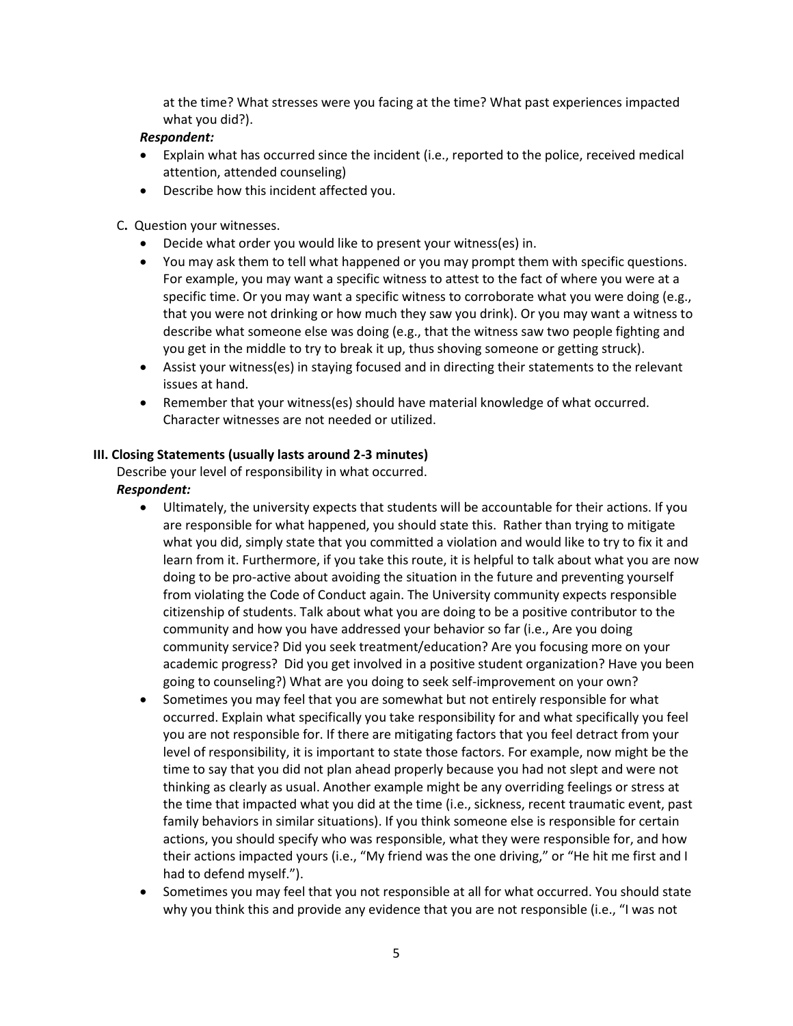at the time? What stresses were you facing at the time? What past experiences impacted what you did?).

## *Respondent:*

- Explain what has occurred since the incident (i.e., reported to the police, received medical attention, attended counseling)
- Describe how this incident affected you.

C**.** Question your witnesses.

- Decide what order you would like to present your witness(es) in.
- You may ask them to tell what happened or you may prompt them with specific questions. For example, you may want a specific witness to attest to the fact of where you were at a specific time. Or you may want a specific witness to corroborate what you were doing (e.g., that you were not drinking or how much they saw you drink). Or you may want a witness to describe what someone else was doing (e.g., that the witness saw two people fighting and you get in the middle to try to break it up, thus shoving someone or getting struck).
- Assist your witness(es) in staying focused and in directing their statements to the relevant issues at hand.
- Remember that your witness(es) should have material knowledge of what occurred. Character witnesses are not needed or utilized.

## **III. Closing Statements (usually lasts around 2-3 minutes)**

Describe your level of responsibility in what occurred.

- *Respondent:*
	- Ultimately, the university expects that students will be accountable for their actions. If you are responsible for what happened, you should state this. Rather than trying to mitigate what you did, simply state that you committed a violation and would like to try to fix it and learn from it. Furthermore, if you take this route, it is helpful to talk about what you are now doing to be pro-active about avoiding the situation in the future and preventing yourself from violating the Code of Conduct again. The University community expects responsible citizenship of students. Talk about what you are doing to be a positive contributor to the community and how you have addressed your behavior so far (i.e., Are you doing community service? Did you seek treatment/education? Are you focusing more on your academic progress? Did you get involved in a positive student organization? Have you been going to counseling?) What are you doing to seek self-improvement on your own?
	- Sometimes you may feel that you are somewhat but not entirely responsible for what occurred. Explain what specifically you take responsibility for and what specifically you feel you are not responsible for. If there are mitigating factors that you feel detract from your level of responsibility, it is important to state those factors. For example, now might be the time to say that you did not plan ahead properly because you had not slept and were not thinking as clearly as usual. Another example might be any overriding feelings or stress at the time that impacted what you did at the time (i.e., sickness, recent traumatic event, past family behaviors in similar situations). If you think someone else is responsible for certain actions, you should specify who was responsible, what they were responsible for, and how their actions impacted yours (i.e., "My friend was the one driving," or "He hit me first and I had to defend myself.").
	- Sometimes you may feel that you not responsible at all for what occurred. You should state why you think this and provide any evidence that you are not responsible (i.e., "I was not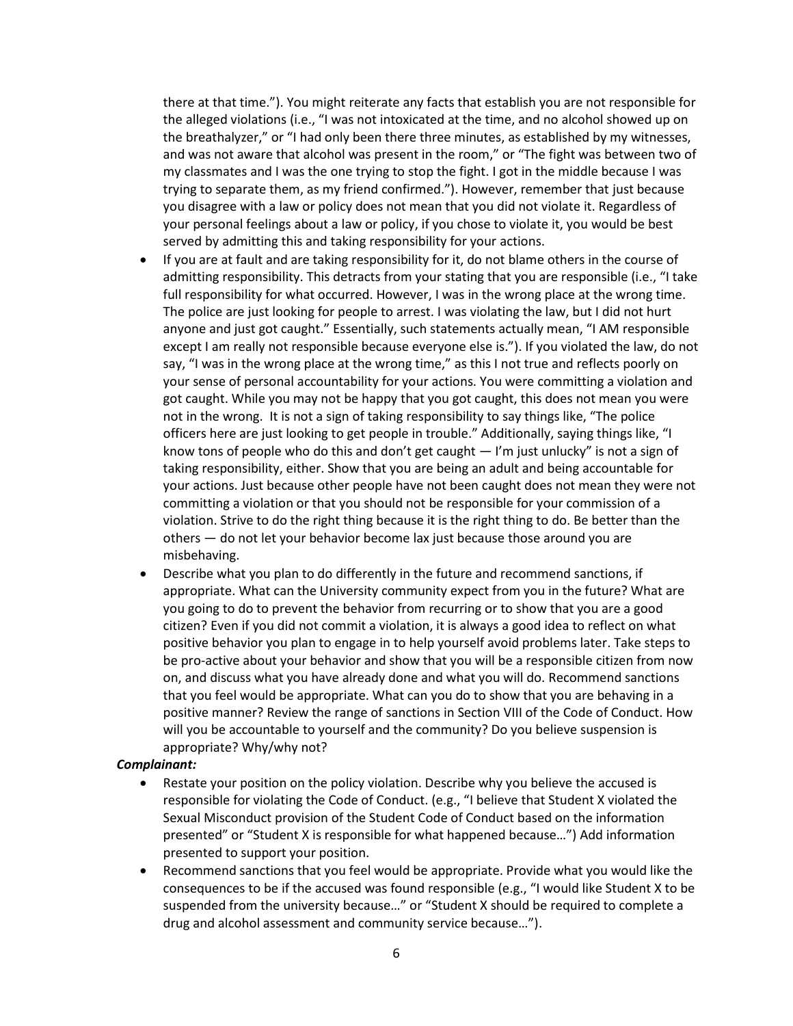there at that time."). You might reiterate any facts that establish you are not responsible for the alleged violations (i.e., "I was not intoxicated at the time, and no alcohol showed up on the breathalyzer," or "I had only been there three minutes, as established by my witnesses, and was not aware that alcohol was present in the room," or "The fight was between two of my classmates and I was the one trying to stop the fight. I got in the middle because I was trying to separate them, as my friend confirmed."). However, remember that just because you disagree with a law or policy does not mean that you did not violate it. Regardless of your personal feelings about a law or policy, if you chose to violate it, you would be best served by admitting this and taking responsibility for your actions.

- If you are at fault and are taking responsibility for it, do not blame others in the course of admitting responsibility. This detracts from your stating that you are responsible (i.e., "I take full responsibility for what occurred. However, I was in the wrong place at the wrong time. The police are just looking for people to arrest. I was violating the law, but I did not hurt anyone and just got caught." Essentially, such statements actually mean, "I AM responsible except I am really not responsible because everyone else is."). If you violated the law, do not say, "I was in the wrong place at the wrong time," as this I not true and reflects poorly on your sense of personal accountability for your actions. You were committing a violation and got caught. While you may not be happy that you got caught, this does not mean you were not in the wrong. It is not a sign of taking responsibility to say things like, "The police officers here are just looking to get people in trouble." Additionally, saying things like, "I know tons of people who do this and don't get caught — I'm just unlucky" is not a sign of taking responsibility, either. Show that you are being an adult and being accountable for your actions. Just because other people have not been caught does not mean they were not committing a violation or that you should not be responsible for your commission of a violation. Strive to do the right thing because it is the right thing to do. Be better than the others — do not let your behavior become lax just because those around you are misbehaving.
- Describe what you plan to do differently in the future and recommend sanctions, if appropriate. What can the University community expect from you in the future? What are you going to do to prevent the behavior from recurring or to show that you are a good citizen? Even if you did not commit a violation, it is always a good idea to reflect on what positive behavior you plan to engage in to help yourself avoid problems later. Take steps to be pro-active about your behavior and show that you will be a responsible citizen from now on, and discuss what you have already done and what you will do. Recommend sanctions that you feel would be appropriate. What can you do to show that you are behaving in a positive manner? Review the range of sanctions in Section VIII of the Code of Conduct. How will you be accountable to yourself and the community? Do you believe suspension is appropriate? Why/why not?

#### *Complainant:*

- Restate your position on the policy violation. Describe why you believe the accused is responsible for violating the Code of Conduct. (e.g., "I believe that Student X violated the Sexual Misconduct provision of the Student Code of Conduct based on the information presented" or "Student X is responsible for what happened because…") Add information presented to support your position.
- Recommend sanctions that you feel would be appropriate. Provide what you would like the consequences to be if the accused was found responsible (e.g., "I would like Student X to be suspended from the university because…" or "Student X should be required to complete a drug and alcohol assessment and community service because…").